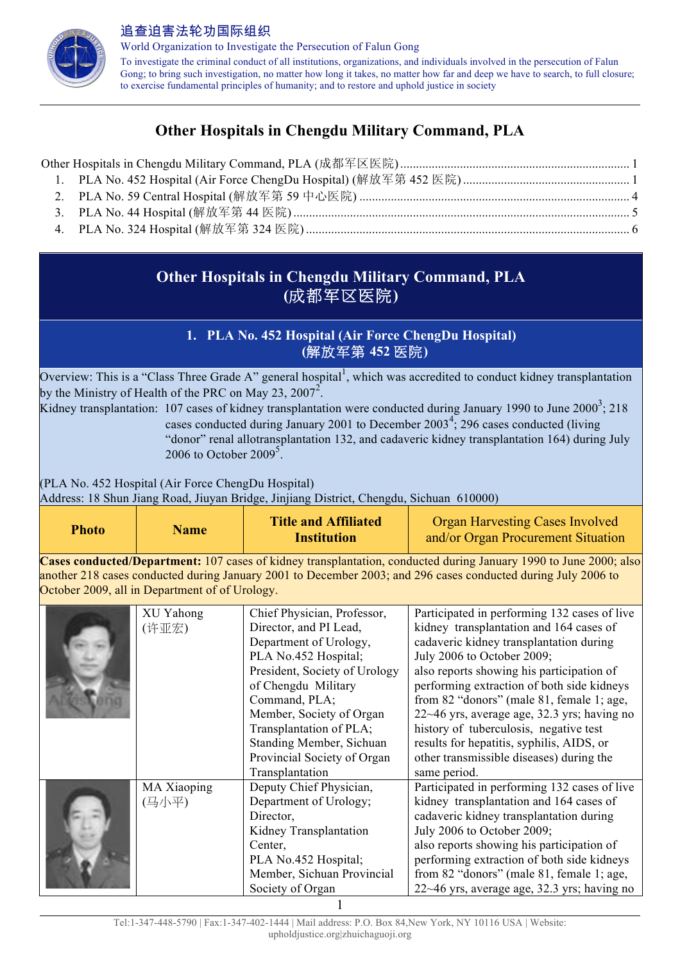

World Organization to Investigate the Persecution of Falun Gong To investigate the criminal conduct of all institutions, organizations, and individuals involved in the persecution of Falun Gong; to bring such investigation, no matter how long it takes, no matter how far and deep we have to search, to full closure; to exercise fundamental principles of humanity; and to restore and uphold justice in society

# **Other Hospitals in Chengdu Military Command, PLA**

## **Other Hospitals in Chengdu Military Command, PLA (**成都军区医院**)**

## **1. PLA No. 452 Hospital (Air Force ChengDu Hospital) (**解放军第 **452** 医院**)**

Overview: This is a "Class Three Grade A" general hospital<sup>1</sup>, which was accredited to conduct kidney transplantation by the Ministry of Health of the PRC on May 23, 2007<sup>2</sup>.

Kidney transplantation: 107 cases of kidney transplantation were conducted during January 1990 to June 2000<sup>3</sup>; 218 cases conducted during January 2001 to December  $2003<sup>4</sup>$ ; 296 cases conducted (living "donor" renal allotransplantation 132, and cadaveric kidney transplantation 164) during July 2006 to October 2009 $5$ .

(PLA No. 452 Hospital (Air Force ChengDu Hospital)

Address: 18 Shun Jiang Road, Jiuyan Bridge, Jinjiang District, Chengdu, Sichuan 610000)

| Photo | <b>Name</b> | <b>Title and Affiliated</b> | <b>Organ Harvesting Cases Involved</b> |
|-------|-------------|-----------------------------|----------------------------------------|
|       |             | <b>Institution</b>          | and/or Organ Procurement Situation     |

**Cases conducted/Department:** 107 cases of kidney transplantation, conducted during January 1990 to June 2000; also another 218 cases conducted during January 2001 to December 2003; and 296 cases conducted during July 2006 to October 2009, all in Department of of Urology.

| XU Yahong   | Chief Physician, Professor,   | Participated in performing 132 cases of live   |
|-------------|-------------------------------|------------------------------------------------|
| (许亚宏)       | Director, and PI Lead,        | kidney transplantation and 164 cases of        |
|             | Department of Urology,        | cadaveric kidney transplantation during        |
|             | PLA No.452 Hospital;          | July 2006 to October 2009;                     |
|             | President, Society of Urology | also reports showing his participation of      |
|             | of Chengdu Military           | performing extraction of both side kidneys     |
|             | Command, PLA;                 | from 82 "donors" (male 81, female 1; age,      |
|             | Member, Society of Organ      | 22~46 yrs, average age, 32.3 yrs; having no    |
|             | Transplantation of PLA;       | history of tuberculosis, negative test         |
|             | Standing Member, Sichuan      | results for hepatitis, syphilis, AIDS, or      |
|             | Provincial Society of Organ   | other transmissible diseases) during the       |
|             | Transplantation               | same period.                                   |
| MA Xiaoping | Deputy Chief Physician,       | Participated in performing 132 cases of live   |
| (马小平)       | Department of Urology;        | kidney transplantation and 164 cases of        |
|             | Director,                     | cadaveric kidney transplantation during        |
|             | Kidney Transplantation        | July 2006 to October 2009;                     |
|             | Center,                       | also reports showing his participation of      |
|             | PLA No.452 Hospital;          | performing extraction of both side kidneys     |
|             | Member, Sichuan Provincial    | from 82 "donors" (male 81, female 1; age,      |
|             | Society of Organ              | $22~-46$ yrs, average age, 32.3 yrs; having no |
|             |                               |                                                |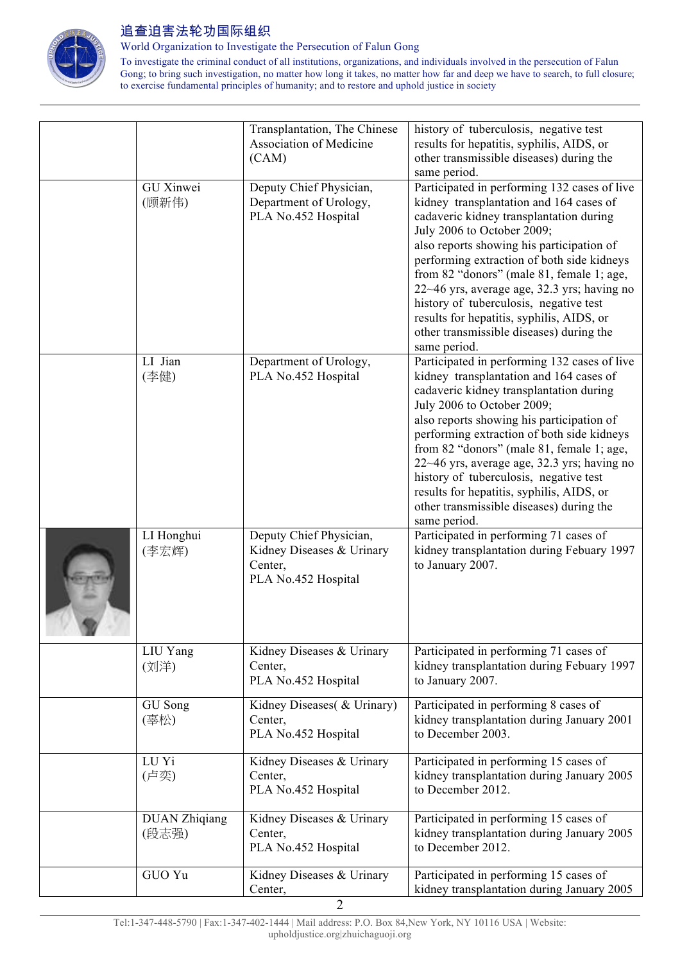

World Organization to Investigate the Persecution of Falun Gong

To investigate the criminal conduct of all institutions, organizations, and individuals involved in the persecution of Falun Gong; to bring such investigation, no matter how long it takes, no matter how far and deep we have to search, to full closure; to exercise fundamental principles of humanity; and to restore and uphold justice in society

|                               | Transplantation, The Chinese<br>Association of Medicine<br>(CAM)                       | history of tuberculosis, negative test<br>results for hepatitis, syphilis, AIDS, or<br>other transmissible diseases) during the<br>same period.                                                                                                                                                                                                                                                                                                                                                            |
|-------------------------------|----------------------------------------------------------------------------------------|------------------------------------------------------------------------------------------------------------------------------------------------------------------------------------------------------------------------------------------------------------------------------------------------------------------------------------------------------------------------------------------------------------------------------------------------------------------------------------------------------------|
| <b>GU</b> Xinwei<br>(顾新伟)     | Deputy Chief Physician,<br>Department of Urology,<br>PLA No.452 Hospital               | Participated in performing 132 cases of live<br>kidney transplantation and 164 cases of<br>cadaveric kidney transplantation during<br>July 2006 to October 2009;<br>also reports showing his participation of<br>performing extraction of both side kidneys<br>from 82 "donors" (male 81, female 1; age,<br>22~46 yrs, average age, 32.3 yrs; having no<br>history of tuberculosis, negative test<br>results for hepatitis, syphilis, AIDS, or<br>other transmissible diseases) during the<br>same period. |
| LI Jian<br>(李健)               | Department of Urology,<br>PLA No.452 Hospital                                          | Participated in performing 132 cases of live<br>kidney transplantation and 164 cases of<br>cadaveric kidney transplantation during<br>July 2006 to October 2009;<br>also reports showing his participation of<br>performing extraction of both side kidneys<br>from 82 "donors" (male 81, female 1; age,<br>22~46 yrs, average age, 32.3 yrs; having no<br>history of tuberculosis, negative test<br>results for hepatitis, syphilis, AIDS, or<br>other transmissible diseases) during the<br>same period. |
| LI Honghui<br>(李宏辉)           | Deputy Chief Physician,<br>Kidney Diseases & Urinary<br>Center,<br>PLA No.452 Hospital | Participated in performing 71 cases of<br>kidney transplantation during Febuary 1997<br>to January 2007.                                                                                                                                                                                                                                                                                                                                                                                                   |
| LIU Yang<br>(刘洋)              | Kidney Diseases & Urinary<br>Center,<br>PLA No.452 Hospital                            | Participated in performing 71 cases of<br>kidney transplantation during Febuary 1997<br>to January 2007.                                                                                                                                                                                                                                                                                                                                                                                                   |
| GU Song<br>(辜松)               | Kidney Diseases( & Urinary)<br>Center,<br>PLA No.452 Hospital                          | Participated in performing 8 cases of<br>kidney transplantation during January 2001<br>to December 2003.                                                                                                                                                                                                                                                                                                                                                                                                   |
| LU Yi<br>(卢奕)                 | Kidney Diseases & Urinary<br>Center,<br>PLA No.452 Hospital                            | Participated in performing 15 cases of<br>kidney transplantation during January 2005<br>to December 2012.                                                                                                                                                                                                                                                                                                                                                                                                  |
| <b>DUAN Zhiqiang</b><br>(段志强) | Kidney Diseases & Urinary<br>Center,<br>PLA No.452 Hospital                            | Participated in performing 15 cases of<br>kidney transplantation during January 2005<br>to December 2012.                                                                                                                                                                                                                                                                                                                                                                                                  |
| GUO Yu                        | Kidney Diseases & Urinary<br>Center,<br>$\overline{2}$                                 | Participated in performing 15 cases of<br>kidney transplantation during January 2005                                                                                                                                                                                                                                                                                                                                                                                                                       |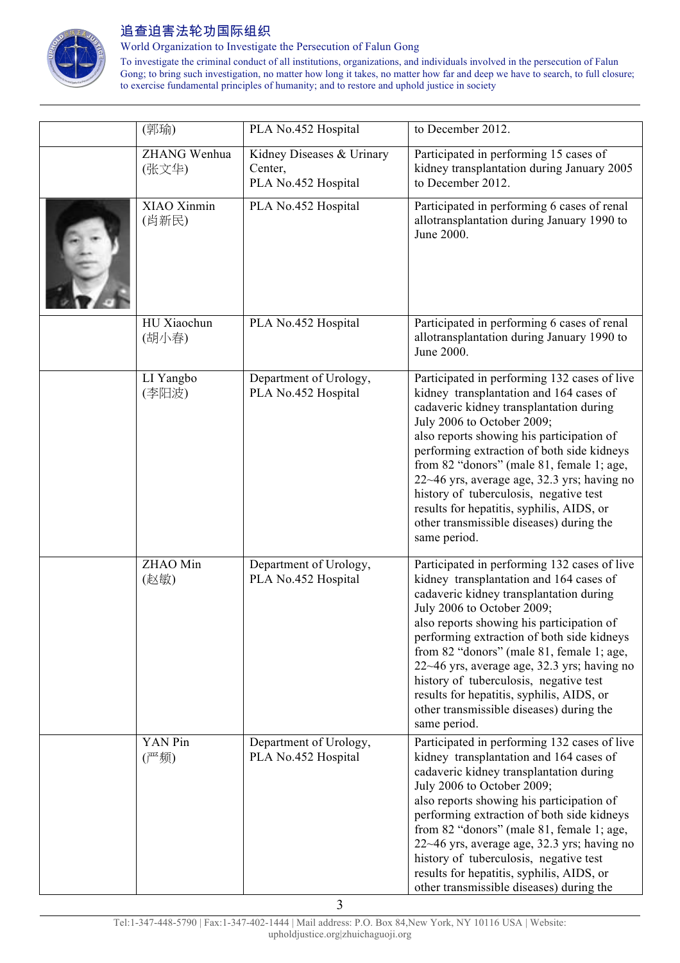

World Organization to Investigate the Persecution of Falun Gong

To investigate the criminal conduct of all institutions, organizations, and individuals involved in the persecution of Falun Gong; to bring such investigation, no matter how long it takes, no matter how far and deep we have to search, to full closure; to exercise fundamental principles of humanity; and to restore and uphold justice in society

| (郭瑜)                  | PLA No.452 Hospital                                         | to December 2012.                                                                                                                                                                                                                                                                                                                                                                                                                                                                                          |
|-----------------------|-------------------------------------------------------------|------------------------------------------------------------------------------------------------------------------------------------------------------------------------------------------------------------------------------------------------------------------------------------------------------------------------------------------------------------------------------------------------------------------------------------------------------------------------------------------------------------|
| ZHANG Wenhua<br>(张文华) | Kidney Diseases & Urinary<br>Center,<br>PLA No.452 Hospital | Participated in performing 15 cases of<br>kidney transplantation during January 2005<br>to December 2012.                                                                                                                                                                                                                                                                                                                                                                                                  |
| XIAO Xinmin<br>(肖新民)  | PLA No.452 Hospital                                         | Participated in performing 6 cases of renal<br>allotransplantation during January 1990 to<br>June 2000.                                                                                                                                                                                                                                                                                                                                                                                                    |
| HU Xiaochun<br>(胡小春)  | PLA No.452 Hospital                                         | Participated in performing 6 cases of renal<br>allotransplantation during January 1990 to<br>June 2000.                                                                                                                                                                                                                                                                                                                                                                                                    |
| LI Yangbo<br>(李阳波)    | Department of Urology,<br>PLA No.452 Hospital               | Participated in performing 132 cases of live<br>kidney transplantation and 164 cases of<br>cadaveric kidney transplantation during<br>July 2006 to October 2009;<br>also reports showing his participation of<br>performing extraction of both side kidneys<br>from 82 "donors" (male 81, female 1; age,<br>22~46 yrs, average age, 32.3 yrs; having no<br>history of tuberculosis, negative test<br>results for hepatitis, syphilis, AIDS, or<br>other transmissible diseases) during the<br>same period. |
| ZHAO Min<br>(赵敏)      | Department of Urology,<br>PLA No.452 Hospital               | Participated in performing 132 cases of live<br>kidney transplantation and 164 cases of<br>cadaveric kidney transplantation during<br>July 2006 to October 2009;<br>also reports showing his participation of<br>performing extraction of both side kidneys<br>from 82 "donors" (male 81, female 1; age,<br>22~46 yrs, average age, 32.3 yrs; having no<br>history of tuberculosis, negative test<br>results for hepatitis, syphilis, AIDS, or<br>other transmissible diseases) during the<br>same period. |
| YAN Pin<br>(严频)       | Department of Urology,<br>PLA No.452 Hospital               | Participated in performing 132 cases of live<br>kidney transplantation and 164 cases of<br>cadaveric kidney transplantation during<br>July 2006 to October 2009;<br>also reports showing his participation of<br>performing extraction of both side kidneys<br>from 82 "donors" (male 81, female 1; age,<br>22~46 yrs, average age, 32.3 yrs; having no<br>history of tuberculosis, negative test<br>results for hepatitis, syphilis, AIDS, or<br>other transmissible diseases) during the                 |

3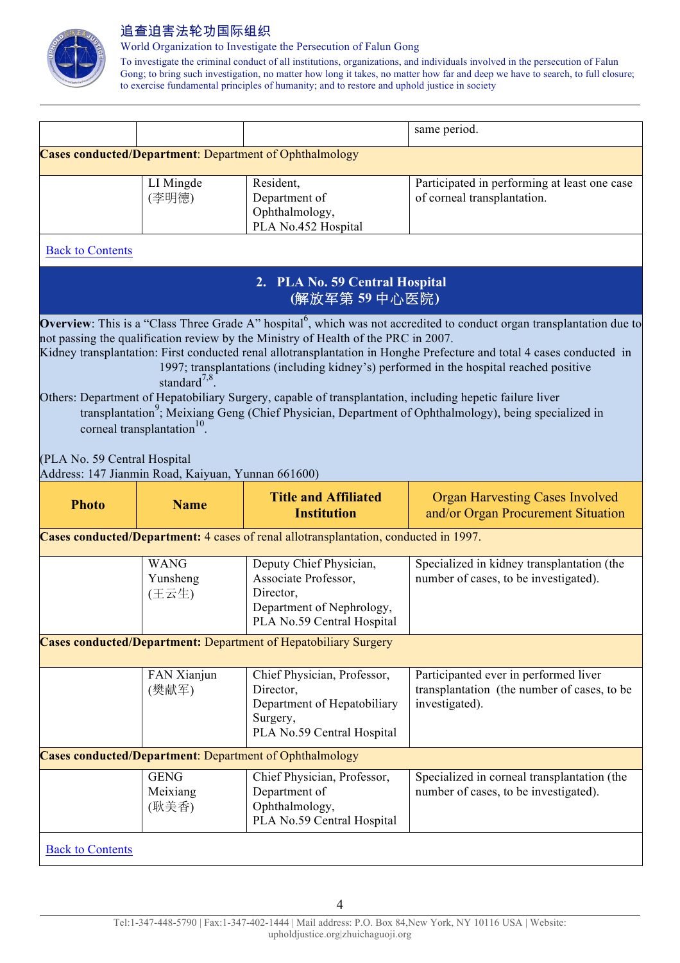

World Organization to Investigate the Persecution of Falun Gong

To investigate the criminal conduct of all institutions, organizations, and individuals involved in the persecution of Falun Gong; to bring such investigation, no matter how long it takes, no matter how far and deep we have to search, to full closure; to exercise fundamental principles of humanity; and to restore and uphold justice in society

|                                                                                                                                                                                                                                                                                                                                                                                                                                                                                                                                                                                                                                                |                                                    |                                                                                                                         | same period.                                                                                           |  |  |
|------------------------------------------------------------------------------------------------------------------------------------------------------------------------------------------------------------------------------------------------------------------------------------------------------------------------------------------------------------------------------------------------------------------------------------------------------------------------------------------------------------------------------------------------------------------------------------------------------------------------------------------------|----------------------------------------------------|-------------------------------------------------------------------------------------------------------------------------|--------------------------------------------------------------------------------------------------------|--|--|
| <b>Cases conducted/Department: Department of Ophthalmology</b>                                                                                                                                                                                                                                                                                                                                                                                                                                                                                                                                                                                 |                                                    |                                                                                                                         |                                                                                                        |  |  |
| <b>Back to Contents</b>                                                                                                                                                                                                                                                                                                                                                                                                                                                                                                                                                                                                                        | LI Mingde<br>(李明德)                                 | Resident,<br>Department of<br>Ophthalmology,<br>PLA No.452 Hospital                                                     | Participated in performing at least one case<br>of corneal transplantation.                            |  |  |
|                                                                                                                                                                                                                                                                                                                                                                                                                                                                                                                                                                                                                                                |                                                    |                                                                                                                         |                                                                                                        |  |  |
|                                                                                                                                                                                                                                                                                                                                                                                                                                                                                                                                                                                                                                                |                                                    | 2. PLA No. 59 Central Hospital<br>(解放军第59中心医院)                                                                          |                                                                                                        |  |  |
| not passing the qualification review by the Ministry of Health of the PRC in 2007.<br>Kidney transplantation: First conducted renal allotransplantation in Honghe Prefecture and total 4 cases conducted in<br>1997; transplantations (including kidney's) performed in the hospital reached positive<br>standard <sup>7,8</sup> .<br>Others: Department of Hepatobiliary Surgery, capable of transplantation, including hepetic failure liver<br>transplantation <sup>9</sup> ; Meixiang Geng (Chief Physician, Department of Ophthalmology), being specialized in<br>corneal transplantation <sup>10</sup> .<br>(PLA No. 59 Central Hospital |                                                    |                                                                                                                         |                                                                                                        |  |  |
|                                                                                                                                                                                                                                                                                                                                                                                                                                                                                                                                                                                                                                                | Address: 147 Jianmin Road, Kaiyuan, Yunnan 661600) | <b>Title and Affiliated</b>                                                                                             | <b>Organ Harvesting Cases Involved</b>                                                                 |  |  |
|                                                                                                                                                                                                                                                                                                                                                                                                                                                                                                                                                                                                                                                |                                                    |                                                                                                                         |                                                                                                        |  |  |
| <b>Photo</b>                                                                                                                                                                                                                                                                                                                                                                                                                                                                                                                                                                                                                                   | <b>Name</b>                                        | <b>Institution</b>                                                                                                      | and/or Organ Procurement Situation                                                                     |  |  |
|                                                                                                                                                                                                                                                                                                                                                                                                                                                                                                                                                                                                                                                |                                                    | Cases conducted/Department: 4 cases of renal allotransplantation, conducted in 1997.                                    |                                                                                                        |  |  |
|                                                                                                                                                                                                                                                                                                                                                                                                                                                                                                                                                                                                                                                | <b>WANG</b><br>Yunsheng<br>(王云生)                   | Deputy Chief Physician,<br>Associate Professor,<br>Director,<br>Department of Nephrology,<br>PLA No.59 Central Hospital | Specialized in kidney transplantation (the<br>number of cases, to be investigated).                    |  |  |
|                                                                                                                                                                                                                                                                                                                                                                                                                                                                                                                                                                                                                                                |                                                    | <b>Cases conducted/Department:</b> Department of Hepatobiliary Surgery                                                  |                                                                                                        |  |  |
|                                                                                                                                                                                                                                                                                                                                                                                                                                                                                                                                                                                                                                                | FAN Xianjun<br>(樊献军)                               | Chief Physician, Professor,<br>Director,<br>Department of Hepatobiliary<br>Surgery,<br>PLA No.59 Central Hospital       | Participanted ever in performed liver<br>transplantation (the number of cases, to be<br>investigated). |  |  |
|                                                                                                                                                                                                                                                                                                                                                                                                                                                                                                                                                                                                                                                |                                                    | <b>Cases conducted/Department: Department of Ophthalmology</b>                                                          |                                                                                                        |  |  |
|                                                                                                                                                                                                                                                                                                                                                                                                                                                                                                                                                                                                                                                | <b>GENG</b><br>Meixiang<br>(耿美香)                   | Chief Physician, Professor,<br>Department of<br>Ophthalmology,<br>PLA No.59 Central Hospital                            | Specialized in corneal transplantation (the<br>number of cases, to be investigated).                   |  |  |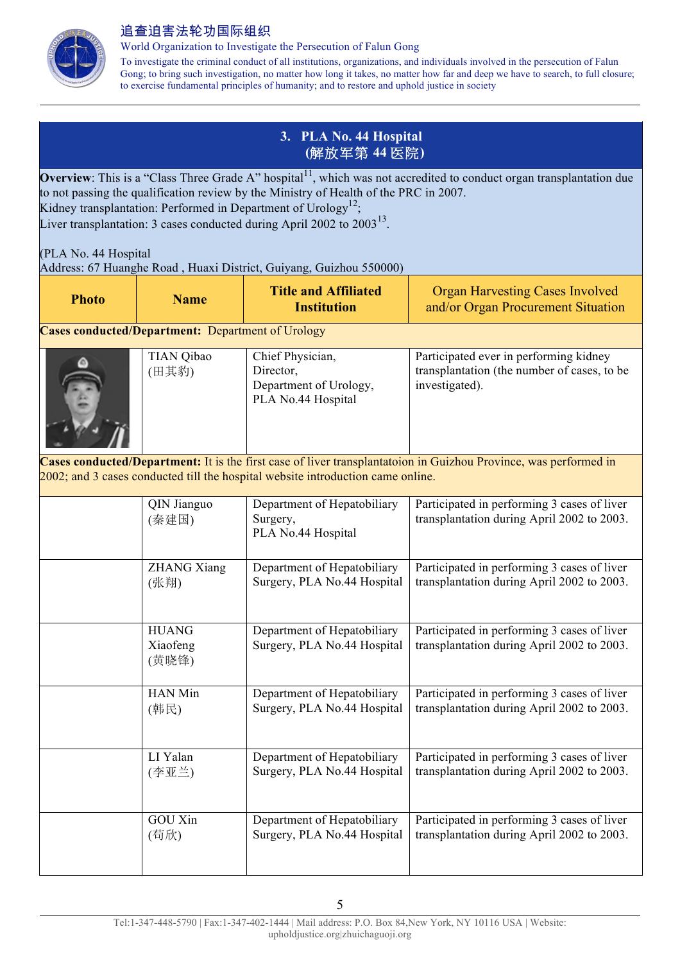

World Organization to Investigate the Persecution of Falun Gong

To investigate the criminal conduct of all institutions, organizations, and individuals involved in the persecution of Falun Gong; to bring such investigation, no matter how long it takes, no matter how far and deep we have to search, to full closure; to exercise fundamental principles of humanity; and to restore and uphold justice in society

## **3. PLA No. 44 Hospital (**解放军第 **44** 医院**)**

**Overview**: This is a "Class Three Grade A" hospital<sup>11</sup>, which was not accredited to conduct organ transplantation due to not passing the qualification review by the Ministry of Health of the PRC in 2007. Kidney transplantation: Performed in Department of  $U\text{rology}^{12}$ ; Liver transplantation: 3 cases conducted during April 2002 to  $2003^{13}$ .

(PLA No. 44 Hospital Address: 67 Huanghe Road , Huaxi District, Guiyang, Guizhou 550000)

| <b>Photo</b> | <b>Name</b>                                              | <b>Title and Affiliated</b><br><b>Institution</b>                               | <b>Organ Harvesting Cases Involved</b><br>and/or Organ Procurement Situation                                     |
|--------------|----------------------------------------------------------|---------------------------------------------------------------------------------|------------------------------------------------------------------------------------------------------------------|
|              | <b>Cases conducted/Department:</b> Department of Urology |                                                                                 |                                                                                                                  |
|              | <b>TIAN Qibao</b><br>(田其豹)                               | Chief Physician,<br>Director,<br>Department of Urology,<br>PLA No.44 Hospital   | Participated ever in performing kidney<br>transplantation (the number of cases, to be<br>investigated).          |
|              |                                                          | 2002; and 3 cases conducted till the hospital website introduction came online. | Cases conducted/Department: It is the first case of liver transplantatoion in Guizhou Province, was performed in |
|              | QIN Jianguo<br>(秦建国)                                     | Department of Hepatobiliary<br>Surgery,<br>PLA No.44 Hospital                   | Participated in performing 3 cases of liver<br>transplantation during April 2002 to 2003.                        |
|              | <b>ZHANG Xiang</b><br>(张翔)                               | Department of Hepatobiliary<br>Surgery, PLA No.44 Hospital                      | Participated in performing 3 cases of liver<br>transplantation during April 2002 to 2003.                        |
|              | <b>HUANG</b><br>Xiaofeng<br>(黄晓锋)                        | Department of Hepatobiliary<br>Surgery, PLA No.44 Hospital                      | Participated in performing 3 cases of liver<br>transplantation during April 2002 to 2003.                        |
|              | <b>HAN Min</b><br>(韩民)                                   | Department of Hepatobiliary<br>Surgery, PLA No.44 Hospital                      | Participated in performing 3 cases of liver<br>transplantation during April 2002 to 2003.                        |
|              | LI Yalan<br>(李亚兰)                                        | Department of Hepatobiliary<br>Surgery, PLA No.44 Hospital                      | Participated in performing 3 cases of liver<br>transplantation during April 2002 to 2003.                        |
|              | <b>GOU Xin</b><br>(苟欣)                                   | Department of Hepatobiliary<br>Surgery, PLA No.44 Hospital                      | Participated in performing 3 cases of liver<br>transplantation during April 2002 to 2003.                        |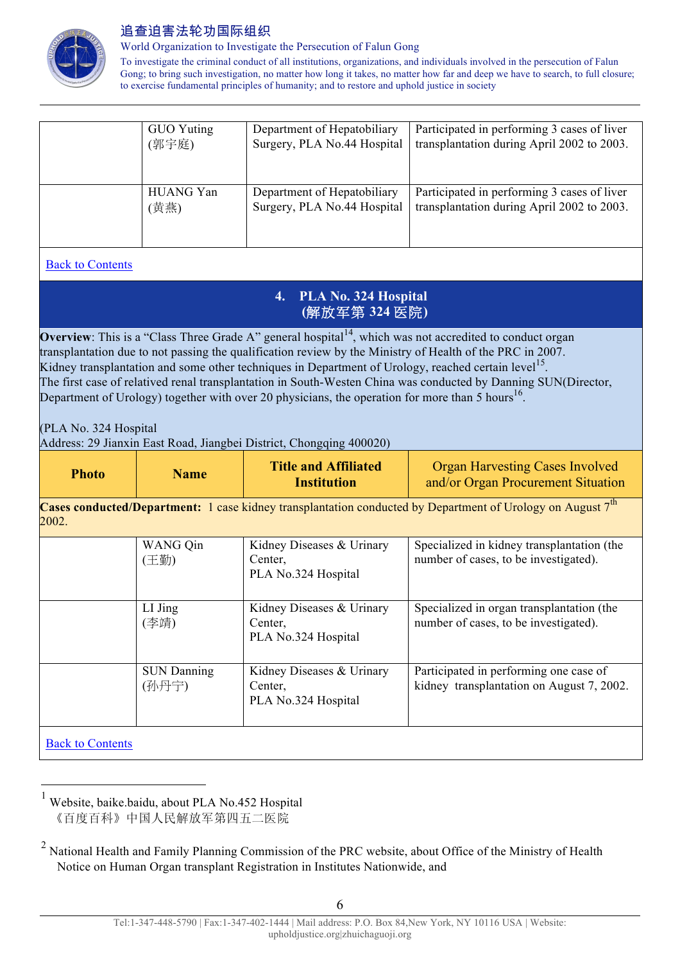

World Organization to Investigate the Persecution of Falun Gong

To investigate the criminal conduct of all institutions, organizations, and individuals involved in the persecution of Falun Gong; to bring such investigation, no matter how long it takes, no matter how far and deep we have to search, to full closure; to exercise fundamental principles of humanity; and to restore and uphold justice in society

| GUO Yuting | Department of Hepatobiliary | Participated in performing 3 cases of liver |
|------------|-----------------------------|---------------------------------------------|
| (郭宇庭)      | Surgery, PLA No.44 Hospital | transplantation during April 2002 to 2003.  |
|            |                             |                                             |
|            |                             |                                             |
| HUANG Yan  | Department of Hepatobiliary | Participated in performing 3 cases of liver |
| (黄燕)       | Surgery, PLA No.44 Hospital | transplantation during April 2002 to 2003.  |
|            |                             |                                             |
|            |                             |                                             |
|            |                             |                                             |

## Back to Contents

#### **4. PLA No. 324 Hospital (**解放军第 **324** 医院**)**

**Overview**: This is a "Class Three Grade A" general hospital $14$ , which was not accredited to conduct organ transplantation due to not passing the qualification review by the Ministry of Health of the PRC in 2007. Kidney transplantation and some other techniques in Department of Urology, reached certain level<sup>15</sup>. The first case of relatived renal transplantation in South-Westen China was conducted by Danning SUN(Director, Department of Urology) together with over 20 physicians, the operation for more than 5 hours<sup>16</sup>.

(PLA No. 324 Hospital

Address: 29 Jianxin East Road, Jiangbei District, Chongqing 400020)

| <b>Photo</b> | <b>Name</b> | <b>Title and Affiliated</b><br><b>Institution</b> | <b>Organ Harvesting Cases Involved</b><br>and/or Organ Procurement Situation |
|--------------|-------------|---------------------------------------------------|------------------------------------------------------------------------------|
|--------------|-------------|---------------------------------------------------|------------------------------------------------------------------------------|

**Cases conducted/Department:** 1 case kidney transplantation conducted by Department of Urology on August 7<sup>th</sup> 2002.

|                         | WANG Qin<br>(王勤)            | Kidney Diseases & Urinary<br>Center.<br>PLA No.324 Hospital | Specialized in kidney transplantation (the<br>number of cases, to be investigated). |
|-------------------------|-----------------------------|-------------------------------------------------------------|-------------------------------------------------------------------------------------|
|                         | LI Jing<br>(李靖)             | Kidney Diseases & Urinary<br>Center,<br>PLA No.324 Hospital | Specialized in organ transplantation (the<br>number of cases, to be investigated).  |
|                         | <b>SUN Danning</b><br>(孙丹宁) | Kidney Diseases & Urinary<br>Center,<br>PLA No.324 Hospital | Participated in performing one case of<br>kidney transplantation on August 7, 2002. |
| <b>Back to Contents</b> |                             |                                                             |                                                                                     |

 $<sup>1</sup>$  Website, baike baidu, about PLA No.452 Hospital</sup> 《百度百科》中国人民解放军第四五二医院

 $2$  National Health and Family Planning Commission of the PRC website, about Office of the Ministry of Health Notice on Human Organ transplant Registration in Institutes Nationwide, and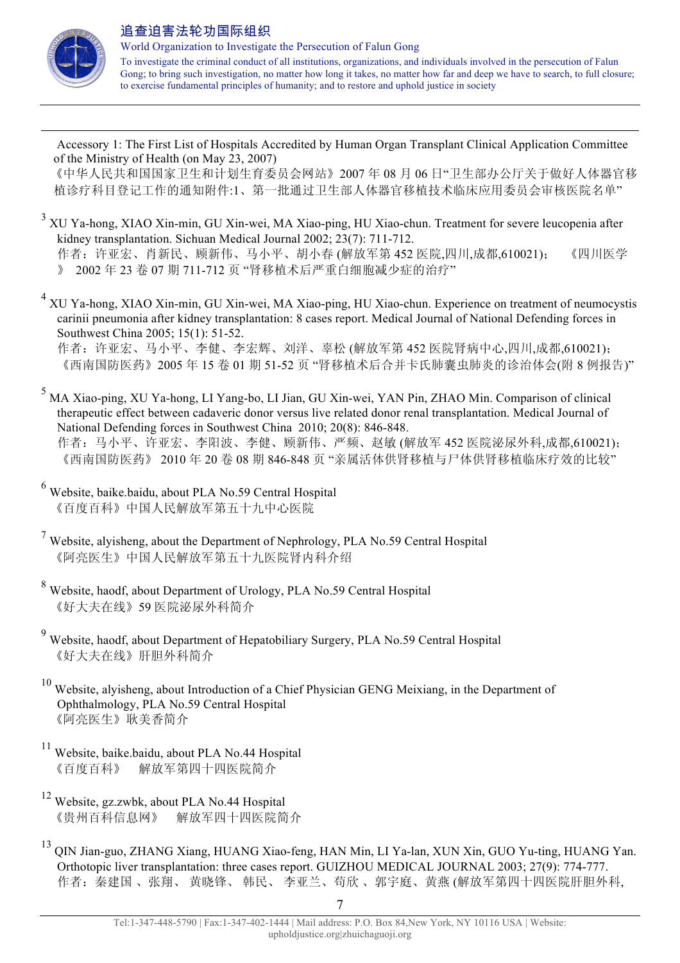

 $\overline{a}$ 

 Accessory 1: The First List of Hospitals Accredited by Human Organ Transplant Clinical Application Committee of the Ministry of Health (on May 23, 2007)

 《中华人民共和国国家卫生和计划生育委员会网站》2007 年 08 月 06 日"卫生部办公厅关于做好人体器官移 植诊疗科目登记工作的通知附件:1、第一批通过卫生部人体器官移植技术临床应用委员会审核医院名单"

- <sup>3</sup> XU Ya-hong, XIAO Xin-min, GU Xin-wei, MA Xiao-ping, HU Xiao-chun. Treatment for severe leucopenia after kidney transplantation. Sichuan Medical Journal 2002; 23(7): 711-712. 作者: 许亚宏、肖新民、顾新伟、马小平、胡小春 (解放军第 452 医院,四川,成都,610021); 《四川医学 》 2002 年 23 卷 07 期 711-712 页 "肾移植术后严重白细胞减少症的治疗"
- <sup>4</sup> XU Ya-hong, XIAO Xin-min, GU Xin-wei, MA Xiao-ping, HU Xiao-chun. Experience on treatment of neumocystis carinii pneumonia after kidney transplantation: 8 cases report. Medical Journal of National Defending forces in Southwest China 2005; 15(1): 51-52.

作者:许亚宏、马小平、李健、李宏辉、刘洋、辜松 (解放军第 452 医院肾病中心,四川,成都,610021); 《西南国防医药》2005 年 15 卷 01 期 51-52 页 "肾移植术后合并卡氏肺囊虫肺炎的诊治体会(附 8 例报告)"

- <sup>5</sup> MA Xiao-ping, XU Ya-hong, LI Yang-bo, LI Jian, GU Xin-wei, YAN Pin, ZHAO Min. Comparison of clinical therapeutic effect between cadaveric donor versus live related donor renal transplantation. Medical Journal of National Defending forces in Southwest China 2010; 20(8): 846-848. 作者:马小平、许亚宏、李阳波、李健、顾新伟、严频、赵敏 (解放军 452 医院泌尿外科,成都,610021); 《西南国防医药》 2010 年 20 卷 08 期 846-848 页 "亲属活体供肾移植与尸体供肾移植临床疗效的比较"
- <sup>6</sup> Website, baike.baidu, about PLA No.59 Central Hospital 《百度百科》中国人民解放军第五十九中心医院
- <sup>7</sup> Website, alyisheng, about the Department of Nephrology, PLA No.59 Central Hospital 《阿亮医生》中国人民解放军第五十九医院肾内科介绍
- <sup>8</sup> Website, haodf, about Department of Urology, PLA No.59 Central Hospital 《好大夫在线》59 医院泌尿外科简介
- <sup>9</sup> Website, haodf, about Department of Hepatobiliary Surgery, PLA No.59 Central Hospital 《好大夫在线》肝胆外科简介
- <sup>10</sup> Website, alyisheng, about Introduction of a Chief Physician GENG Meixiang, in the Department of Ophthalmology, PLA No.59 Central Hospital 《阿亮医生》耿美香简介
- <sup>11</sup> Website, baike.baidu, about PLA No.44 Hospital 《百度百科》 解放军第四十四医院简介
- <sup>12</sup> Website, gz.zwbk, about PLA No.44 Hospital 《贵州百科信息网》 解放军四十四医院简介
- <sup>13</sup> QIN Jian-guo, ZHANG Xiang, HUANG Xiao-feng, HAN Min, LI Ya-lan, XUN Xin, GUO Yu-ting, HUANG Yan. Orthotopic liver transplantation: three cases report. GUIZHOU MEDICAL JOURNAL 2003; 27(9): 774-777. 作者: 秦建国、张翔、黄晓锋、韩民、李亚兰、苟欣、郭宇庭、黄燕 (解放军第四十四医院肝胆外科,